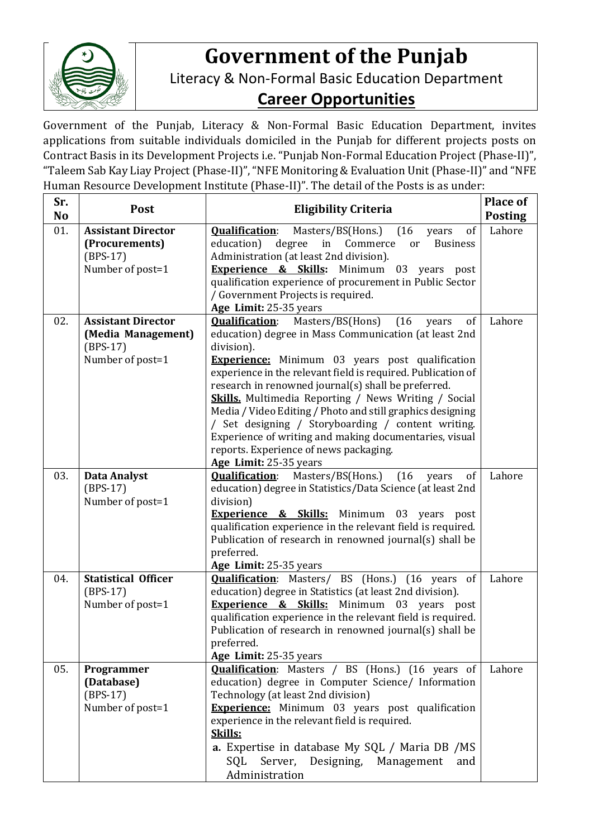

## **Government of the Punjab**

Literacy & Non-Formal Basic Education Department

## **Career Opportunities**

Government of the Punjab, Literacy & Non-Formal Basic Education Department, invites applications from suitable individuals domiciled in the Punjab for different projects posts on Contract Basis in its Development Projects i.e. "Punjab Non-Formal Education Project (Phase-II)", "Taleem Sab Kay Liay Project (Phase-II)", "NFE Monitoring & Evaluation Unit(Phase-II)" and "NFE Human Resource Development Institute (Phase-II)". The detail of the Posts is as under:

| Sr.<br>N <sub>o</sub> | Post                           | <b>Eligibility Criteria</b>                                                                             | <b>Place of</b><br><b>Posting</b> |
|-----------------------|--------------------------------|---------------------------------------------------------------------------------------------------------|-----------------------------------|
| 01.                   | <b>Assistant Director</b>      | (16)<br>of<br><b>Oualification:</b><br>Masters/BS(Hons.)<br>years                                       | Lahore                            |
|                       | (Procurements)                 | education)<br>degree<br>in<br>Commerce<br><b>Business</b><br>or                                         |                                   |
|                       | $(BPS-17)$                     | Administration (at least 2nd division).                                                                 |                                   |
|                       | Number of post=1               | <b>Experience &amp; Skills:</b><br>Minimum 03 years post                                                |                                   |
|                       |                                | qualification experience of procurement in Public Sector                                                |                                   |
|                       |                                | / Government Projects is required.                                                                      |                                   |
|                       |                                | Age Limit: 25-35 years                                                                                  |                                   |
| 02.                   | <b>Assistant Director</b>      | <b>Qualification:</b><br>Masters/BS(Hons)<br>(16)<br>of<br>years                                        | Lahore                            |
|                       | (Media Management)             | education) degree in Mass Communication (at least 2nd                                                   |                                   |
|                       | $(BPS-17)$                     | division).                                                                                              |                                   |
|                       | Number of post=1               | <b>Experience:</b> Minimum 03 years post qualification                                                  |                                   |
|                       |                                | experience in the relevant field is required. Publication of                                            |                                   |
|                       |                                | research in renowned journal(s) shall be preferred.                                                     |                                   |
|                       |                                | <b>Skills.</b> Multimedia Reporting / News Writing / Social                                             |                                   |
|                       |                                | Media / Video Editing / Photo and still graphics designing                                              |                                   |
|                       |                                | / Set designing / Storyboarding / content writing.                                                      |                                   |
|                       |                                | Experience of writing and making documentaries, visual<br>reports. Experience of news packaging.        |                                   |
|                       |                                | Age Limit: 25-35 years                                                                                  |                                   |
| 03.                   | <b>Data Analyst</b>            | Masters/BS(Hons.)<br><b>Qualification:</b><br>(16)<br>of<br>years                                       | Lahore                            |
|                       | $(BPS-17)$                     | education) degree in Statistics/Data Science (at least 2nd                                              |                                   |
|                       | Number of post=1               | division)                                                                                               |                                   |
|                       |                                | <b>Experience &amp; Skills:</b><br>Minimum 03 years post                                                |                                   |
|                       |                                | qualification experience in the relevant field is required.                                             |                                   |
|                       |                                | Publication of research in renowned journal(s) shall be                                                 |                                   |
|                       |                                | preferred.                                                                                              |                                   |
|                       |                                | Age Limit: 25-35 years                                                                                  |                                   |
| 04.                   | <b>Statistical Officer</b>     | <b>Qualification:</b> Masters/ BS (Hons.) (16 years<br>of                                               | Lahore                            |
|                       | $(BPS-17)$                     | education) degree in Statistics (at least 2nd division).                                                |                                   |
|                       | Number of post=1               | <b>Experience &amp; Skills:</b> Minimum 03 years post                                                   |                                   |
|                       |                                | qualification experience in the relevant field is required.                                             |                                   |
|                       |                                | Publication of research in renowned journal(s) shall be                                                 |                                   |
|                       |                                | preferred.                                                                                              |                                   |
|                       |                                | Age Limit: 25-35 years                                                                                  |                                   |
| 05.                   | Programmer                     | <b>Qualification:</b> Masters / BS (Hons.) (16 years of                                                 | Lahore                            |
|                       | (Database)                     | education) degree in Computer Science/ Information                                                      |                                   |
|                       | $(BPS-17)$<br>Number of post=1 | Technology (at least 2nd division)                                                                      |                                   |
|                       |                                | <b>Experience:</b> Minimum 03 years post qualification<br>experience in the relevant field is required. |                                   |
|                       |                                | Skills:                                                                                                 |                                   |
|                       |                                | a. Expertise in database My SQL / Maria DB / MS                                                         |                                   |
|                       |                                | Server, Designing, Management<br>SQL<br>and                                                             |                                   |
|                       |                                | Administration                                                                                          |                                   |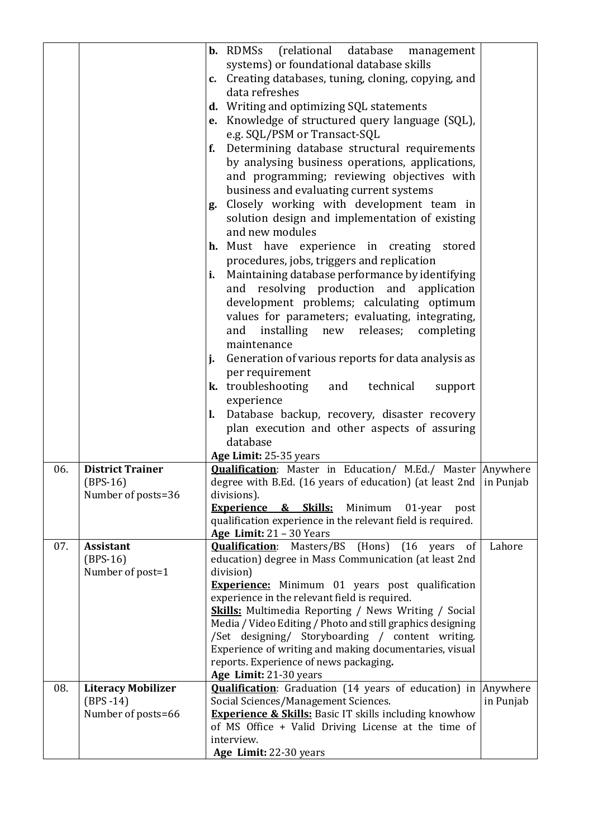|            |                                                                                 | <b>b.</b> RDMSs (relational database<br>management<br>systems) or foundational database skills<br>c. Creating databases, tuning, cloning, copying, and<br>data refreshes<br>d. Writing and optimizing SQL statements<br>e. Knowledge of structured query language (SQL),<br>e.g. SQL/PSM or Transact-SQL<br>Determining database structural requirements<br>f.<br>by analysing business operations, applications,<br>and programming; reviewing objectives with<br>business and evaluating current systems<br>Closely working with development team in<br>g.<br>solution design and implementation of existing<br>and new modules<br>h. Must have experience in creating stored<br>procedures, jobs, triggers and replication<br>Maintaining database performance by identifying<br>i.<br>and resolving production and application<br>development problems; calculating optimum<br>values for parameters; evaluating, integrating,<br>installing new releases;<br>completing<br>and<br>maintenance<br>Generation of various reports for data analysis as<br>j.<br>per requirement<br><b>k.</b> troubleshooting and technical<br>support<br>experience<br>Database backup, recovery, disaster recovery<br>l.<br>plan execution and other aspects of assuring<br>database |                    |
|------------|---------------------------------------------------------------------------------|-------------------------------------------------------------------------------------------------------------------------------------------------------------------------------------------------------------------------------------------------------------------------------------------------------------------------------------------------------------------------------------------------------------------------------------------------------------------------------------------------------------------------------------------------------------------------------------------------------------------------------------------------------------------------------------------------------------------------------------------------------------------------------------------------------------------------------------------------------------------------------------------------------------------------------------------------------------------------------------------------------------------------------------------------------------------------------------------------------------------------------------------------------------------------------------------------------------------------------------------------------------------------|--------------------|
| 06.        | <b>District Trainer</b><br>$(BPS-16)$<br>Number of posts=36                     | Age Limit: 25-35 years<br><b>Qualification:</b> Master in Education/ M.Ed./ Master Anywhere<br>degree with B.Ed. (16 years of education) (at least 2nd $\vert$ in Punjab<br>divisions).<br><b>Experience</b><br><u>&amp; Skills:</u><br>Minimum<br>01-year<br>post<br>qualification experience in the relevant field is required.<br>Age Limit: $21 - 30$ Years                                                                                                                                                                                                                                                                                                                                                                                                                                                                                                                                                                                                                                                                                                                                                                                                                                                                                                         |                    |
| 07.<br>08. | <b>Assistant</b><br>$(BPS-16)$<br>Number of post=1<br><b>Literacy Mobilizer</b> | <b>Qualification:</b> Masters/BS<br>(Hons) (16 years of<br>education) degree in Mass Communication (at least 2nd<br>division)<br><b>Experience:</b> Minimum 01 years post qualification<br>experience in the relevant field is required.<br><b>Skills:</b> Multimedia Reporting / News Writing / Social<br>Media / Video Editing / Photo and still graphics designing<br>/Set designing/ Storyboarding / content writing.<br>Experience of writing and making documentaries, visual<br>reports. Experience of news packaging.<br>Age Limit: 21-30 years<br><b>Qualification:</b> Graduation (14 years of education) in                                                                                                                                                                                                                                                                                                                                                                                                                                                                                                                                                                                                                                                  | Lahore<br>Anywhere |
|            | $(BPS - 14)$<br>Number of posts=66                                              | Social Sciences/Management Sciences.<br><b>Experience &amp; Skills:</b> Basic IT skills including knowhow<br>of MS Office + Valid Driving License at the time of<br>interview.<br>Age Limit: 22-30 years                                                                                                                                                                                                                                                                                                                                                                                                                                                                                                                                                                                                                                                                                                                                                                                                                                                                                                                                                                                                                                                                | in Punjab          |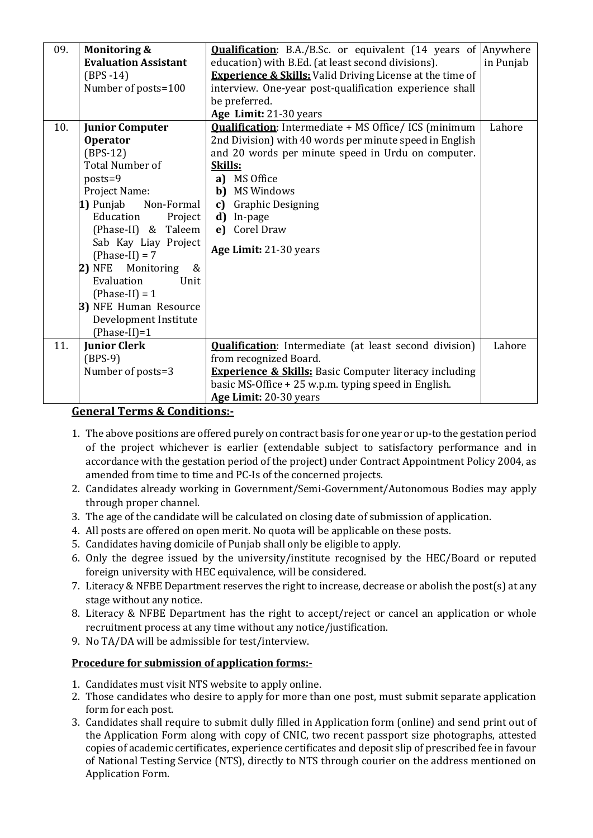| 09. | <b>Monitoring &amp;</b><br><b>Evaluation Assistant</b><br>$(BPS-14)$<br>Number of posts=100                                                                                                                                                                                                                                                                                        | <b>Qualification:</b> B.A./B.Sc. or equivalent (14 years of Anywhere<br>education) with B.Ed. (at least second divisions).<br><b>Experience &amp; Skills:</b> Valid Driving License at the time of<br>interview. One-year post-qualification experience shall<br>be preferred.<br>Age Limit: 21-30 years                              | in Punjab |
|-----|------------------------------------------------------------------------------------------------------------------------------------------------------------------------------------------------------------------------------------------------------------------------------------------------------------------------------------------------------------------------------------|---------------------------------------------------------------------------------------------------------------------------------------------------------------------------------------------------------------------------------------------------------------------------------------------------------------------------------------|-----------|
| 10. | <b>Junior Computer</b><br><b>Operator</b><br>$(BPS-12)$<br><b>Total Number of</b><br>$posts = 9$<br>Project Name:<br>1) Punjab<br>Non-Formal<br>Education<br>Project<br>(Phase-II) & Taleem<br>Sab Kay Liay Project<br>$(Phase-II) = 7$<br>Monitoring<br>2) NFE<br>&<br>Evaluation<br>Unit<br>$(Phase-II) = 1$<br>3) NFE Human Resource<br>Development Institute<br>$(Phase-II)=1$ | <b>Qualification:</b> Intermediate + MS Office/ ICS (minimum<br>2nd Division) with 40 words per minute speed in English<br>and 20 words per minute speed in Urdu on computer.<br><b>Skills:</b><br>a) MS Office<br><b>b)</b> MS Windows<br><b>Graphic Designing</b><br>c)<br>d)<br>In-page<br>e) Corel Draw<br>Age Limit: 21-30 years | Lahore    |
| 11. | <b>Junior Clerk</b><br>$(BPS-9)$<br>Number of posts=3                                                                                                                                                                                                                                                                                                                              | <b>Qualification:</b> Intermediate (at least second division)<br>from recognized Board.<br><b>Experience &amp; Skills:</b> Basic Computer literacy including<br>basic MS-Office + 25 w.p.m. typing speed in English.<br>Age Limit: 20-30 years                                                                                        | Lahore    |

## **General Terms & Conditions:-**

- 1. The above positions are offered purely on contract basis for one year or up-to the gestation period of the project whichever is earlier (extendable subject to satisfactory performance and in accordance with the gestation period of the project) under Contract Appointment Policy 2004, as amended from time to time and PC-Is of the concerned projects.
- 2. Candidates already working in Government/Semi-Government/Autonomous Bodies may apply through proper channel.
- 3. The age of the candidate will be calculated on closing date of submission of application.
- 4. All posts are offered on open merit. No quota will be applicable on these posts.
- 5. Candidates having domicile of Punjab shall only be eligible to apply.
- 6. Only the degree issued by the university/institute recognised by the HEC/Board or reputed foreign university with HEC equivalence, will be considered.
- 7. Literacy & NFBE Department reserves the right to increase, decrease or abolish the post(s) at any stage without any notice.
- 8. Literacy & NFBE Department has the right to accept/reject or cancel an application or whole recruitment process at any time without any notice/justification.
- 9. No TA/DA will be admissible for test/interview.

## **Procedure for submission of application forms:-**

- 1. Candidates must visit NTS website to apply online.
- 2. Those candidates who desire to apply for more than one post, must submit separate application form for each post.
- 3. Candidates shall require to submit dully filled in Application form (online) and send print out of the Application Form along with copy of CNIC, two recent passport size photographs, attested copies of academic certificates, experience certificates and deposit slip of prescribed fee in favour of National Testing Service (NTS), directly to NTS through courier on the address mentioned on Application Form.